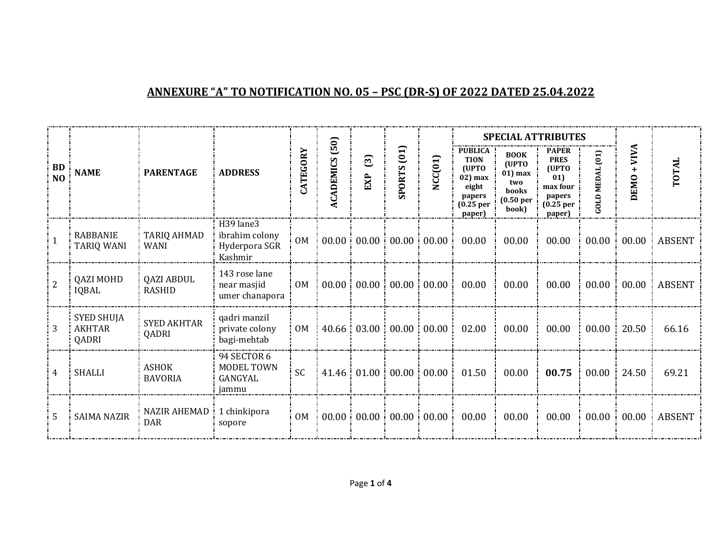## **ANNEXURE "A" TO NOTIFICATION NO. 05 – PSC (DR-S) OF 2022 DATED 25.04.2022**

|                             |                                             |                                   |                                                         |                 | <b>SPECIAL ATTRIBUTES</b><br>(50) |           |                    |                                       |                                                                                                             |                                                                                    |                                                                                                       |                                                                           |                           |               |
|-----------------------------|---------------------------------------------|-----------------------------------|---------------------------------------------------------|-----------------|-----------------------------------|-----------|--------------------|---------------------------------------|-------------------------------------------------------------------------------------------------------------|------------------------------------------------------------------------------------|-------------------------------------------------------------------------------------------------------|---------------------------------------------------------------------------|---------------------------|---------------|
| <b>BD</b><br>N <sub>0</sub> | <b>NAME</b>                                 | <b>PARENTAGE</b>                  | <b>ADDRESS</b>                                          | <b>CATEGORY</b> | <b>ACADEMICS</b>                  | ධි<br>EXP | <b>SPORTS</b> (01) | NCC(01)                               | <b>PUBLICA</b><br><b>TION</b><br>(UPTO<br>$02$ ) max<br>eight<br>papers<br>(0.25 <sub>per</sub> )<br>paper) | <b>BOOK</b><br>(UPTO<br>01) max<br>two<br>books<br>(0.50 <sub>per</sub> )<br>book) | <b>PAPER</b><br><b>PRES</b><br>(UPTO<br>01)<br>max four<br>papers<br>(0.25 <sub>per</sub> )<br>paper) | $\begin{pmatrix} 1 \\ 0 \end{pmatrix}$<br><b>MEDAL</b><br>$G$ $L$ $D$ $D$ | VIVA<br>$\ddot{}$<br>EMO. | TOTAL         |
| 1                           | <b>RABBANIE</b><br><b>TARIQ WANI</b>        | <b>TARIQ AHMAD</b><br><b>WANI</b> | H39 lane3<br>ibrahim colony<br>Hyderpora SGR<br>Kashmir | <b>OM</b>       | 00.00                             |           |                    | $00.00 \div 00.00 \div 00.00 \div 0$  | 00.00                                                                                                       | 00.00                                                                              | 00.00                                                                                                 | 00.00                                                                     | 00.00                     | <b>ABSENT</b> |
| $\overline{2}$              | <b>QAZI MOHD</b><br>IQBAL                   | QAZI ABDUL<br><b>RASHID</b>       | 143 rose lane<br>near masjid<br>umer chanapora          | 0 <sub>M</sub>  | 00.00                             |           |                    | $00.00 \div 00.00 \div 00.00$         | 00.00                                                                                                       | 00.00                                                                              | 00.00                                                                                                 | 00.00                                                                     | 00.00                     | <b>ABSENT</b> |
| 3                           | <b>SYED SHUJA</b><br><b>AKHTAR</b><br>QADRI | <b>SYED AKHTAR</b><br>QADRI       | qadri manzil<br>private colony<br>bagi-mehtab           | <b>OM</b>       | 40.66                             |           |                    | $03.00 \pm 00.00 \pm 00.00$           | 02.00                                                                                                       | 00.00                                                                              | 00.00                                                                                                 | 00.00                                                                     | 20.50                     | 66.16         |
| 4                           | <b>SHALLI</b>                               | <b>ASHOK</b><br><b>BAVORIA</b>    | 94 SECTOR 6<br><b>MODEL TOWN</b><br>GANGYAL<br>jammu    | <b>SC</b>       | 41.46                             |           |                    | $01.00 \cdot 00.00 \cdot 00.00 \cdot$ | 01.50                                                                                                       | 00.00                                                                              | 00.75                                                                                                 | 00.00                                                                     | 24.50                     | 69.21         |
| .5                          | <b>SAIMA NAZIR</b>                          | <b>NAZIR AHEMAD</b><br><b>DAR</b> | 1 chinkipora<br>sopore                                  | <b>OM</b>       | 00.00                             |           |                    | 00.00:00.00:00.00:                    | 00.00                                                                                                       | 00.00                                                                              | 00.00                                                                                                 | 00.00                                                                     | 00.00                     | <b>ABSENT</b> |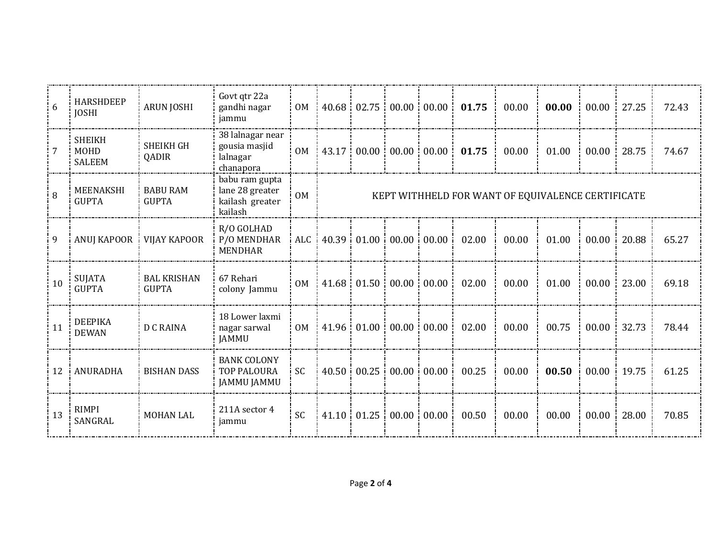| 6   | <b>HARSHDEEP</b><br><b>JOSHI</b>              | <b>ARUN JOSHI</b>                  | Govt qtr 22a<br>gandhi nagar<br>jammu                           | 0 <sub>M</sub> |                                                   |       |                               | $40.68 \div 02.75 \div 00.00 \div 00.00 \div 0$ | 01.75 | 00.00 | 00.00 | 00.00 | 27.25 | 72.43 |
|-----|-----------------------------------------------|------------------------------------|-----------------------------------------------------------------|----------------|---------------------------------------------------|-------|-------------------------------|-------------------------------------------------|-------|-------|-------|-------|-------|-------|
|     | <b>SHEIKH</b><br><b>MOHD</b><br><b>SALEEM</b> | <b>SHEIKH GH</b><br>QADIR          | 38 lalnagar near<br>gousia masjid<br>lalnagar<br>chanapora      | <b>OM</b>      | 43.17                                             |       | $00.00 \ 00.00$               | 00.00                                           | 01.75 | 00.00 | 01.00 | 00.00 | 28.75 | 74.67 |
| 8   | MEENAKSHI<br><b>GUPTA</b>                     | <b>BABU RAM</b><br><b>GUPTA</b>    | babu ram gupta<br>lane 28 greater<br>kailash greater<br>kailash | <b>OM</b>      | KEPT WITHHELD FOR WANT OF EQUIVALENCE CERTIFICATE |       |                               |                                                 |       |       |       |       |       |       |
| 9   | <b>ANUJ KAPOOR</b>                            | <b>VIJAY KAPOOR</b>                | R/O GOLHAD<br>P/O MENDHAR<br><b>MENDHAR</b>                     |                |                                                   |       |                               | ALC 40.39 01.00 00.00 00.00 i                   | 02.00 | 00.00 | 01.00 | 00.00 | 20.88 | 65.27 |
| 10  | <b>SUJATA</b><br><b>GUPTA</b>                 | <b>BAL KRISHAN</b><br><b>GUPTA</b> | 67 Rehari<br>colony Jammu                                       | 0 <sub>M</sub> | 41.68                                             |       | $01.50 \div 00.00 \div 00.00$ |                                                 | 02.00 | 00.00 | 01.00 | 00.00 | 23.00 | 69.18 |
| 11  | <b>DEEPIKA</b><br><b>DEWAN</b>                | <b>D C RAINA</b>                   | 18 Lower laxmi<br>nagar sarwal<br><b>JAMMU</b>                  | <b>OM</b>      | 41.96                                             | 01.00 | 00.00                         | 00.00                                           | 02.00 | 00.00 | 00.75 | 00.00 | 32.73 | 78.44 |
| -12 | ANURADHA                                      | <b>BISHAN DASS</b>                 | <b>BANK COLONY</b><br><b>TOP PALOURA</b><br><b>JAMMU JAMMU</b>  | <b>SC</b>      |                                                   |       |                               | 40.50 00.25 00.00 00.00                         | 00.25 | 00.00 | 00.50 | 00.00 | 19.75 | 61.25 |
| 13  | RIMPI<br>SANGRAL                              | <b>MOHAN LAL</b>                   | 211A sector 4<br>jammu                                          | <b>SC</b>      | 41.10                                             |       | $01.25 \div 00.00 \div 00.00$ |                                                 | 00.50 | 00.00 | 00.00 | 00.00 | 28.00 | 70.85 |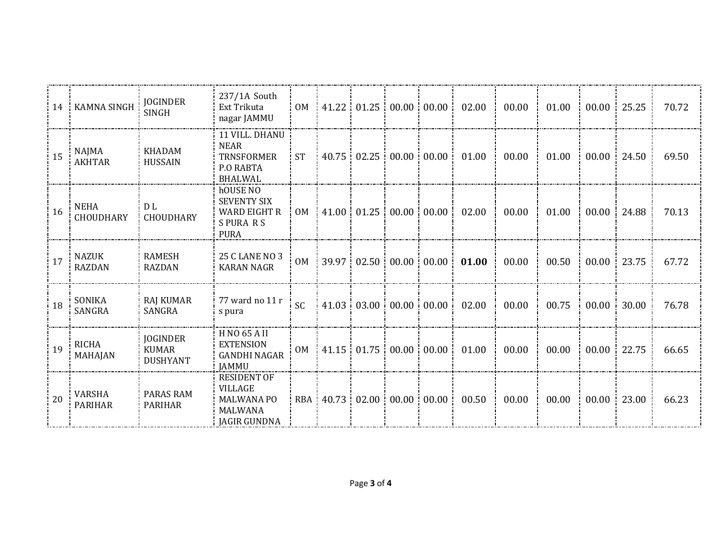| 14 | <b>KAMNA SINGH</b>              | <b>JOGINDER</b><br><b>SINGH</b>                    | 237/1A South<br>Ext Trikuta<br>nagar JAMMU                                                         | <b>OM</b>      |           |                    | $\frac{1}{2}$ 41.22 $\frac{1}{2}$ 01.25 $\frac{1}{2}$ 00.00 $\frac{1}{2}$ 00.00 $\frac{1}{2}$ | 02.00 | 00.00 | 01.00 | 00.00 | 25.25 | 70.72 |
|----|---------------------------------|----------------------------------------------------|----------------------------------------------------------------------------------------------------|----------------|-----------|--------------------|-----------------------------------------------------------------------------------------------|-------|-------|-------|-------|-------|-------|
| 15 | NAJMA<br><b>AKHTAR</b>          | <b>KHADAM</b><br><b>HUSSAIN</b>                    | 11 VILL. DHANU<br><b>NEAR</b><br><b>TRNSFORMER</b><br><b>P.O RABTA</b><br><b>BHALWAL</b>           | <b>ST</b>      |           |                    | 40.75 02.25 00.00 00.00                                                                       | 01.00 | 00.00 | 01.00 | 00.00 | 24.50 | 69.50 |
| 16 | <b>NEHA</b><br><b>CHOUDHARY</b> | D L<br><b>CHOUDHARY</b>                            | hOUSE NO<br><b>SEVENTY SIX</b><br><b>WARD EIGHT R</b><br><b>SPURARS</b><br><b>PURA</b>             | 0 <sub>M</sub> |           |                    | $41.00 \div 01.25 \div 00.00 \div 00.00 \div 0$                                               | 02.00 | 00.00 | 01.00 | 00.00 | 24.88 | 70.13 |
| 17 | NAZUK<br><b>RAZDAN</b>          | <b>RAMESH</b><br><b>RAZDAN</b>                     | 25 C LANE NO 3<br><b>KARAN NAGR</b>                                                                | <b>OM</b>      |           |                    | 39.97 02.50 00.00 00.00                                                                       | 01.00 | 00.00 | 00.50 | 00.00 | 23.75 | 67.72 |
| 18 | SONIKA<br>SANGRA                | <b>RAJ KUMAR</b><br>SANGRA                         | 77 ward no 11 r<br>s pura                                                                          | <b>SC</b>      |           |                    | 41.03 03.00 00.00 00.00                                                                       | 02.00 | 00.00 | 00.75 | 00.00 | 30.00 | 76.78 |
| 19 | <b>RICHA</b><br>MAHAJAN         | <b>JOGINDER</b><br><b>KUMAR</b><br><b>DUSHYANT</b> | <b>HNO 65 AII</b><br><b>EXTENSION</b><br><b>GANDHI NAGAR</b><br><b>JAMMU</b>                       | 0 <sub>M</sub> |           |                    | $41.15 \div 01.75 \div 00.00 \div 00.00$                                                      | 01.00 | 00.00 | 00.00 | 00.00 | 22.75 | 66.65 |
| 20 | VARSHA<br><b>PARIHAR</b>        | <b>PARAS RAM</b><br><b>PARIHAR</b>                 | <b>RESIDENT OF</b><br><b>VILLAGE</b><br><b>MALWANA PO</b><br><b>MALWANA</b><br><b>JAGIR GUNDNA</b> |                | RBA 40.73 | $02.00 \div 00.00$ | 00.00:                                                                                        | 00.50 | 00.00 | 00.00 | 00.00 | 23.00 | 66.23 |